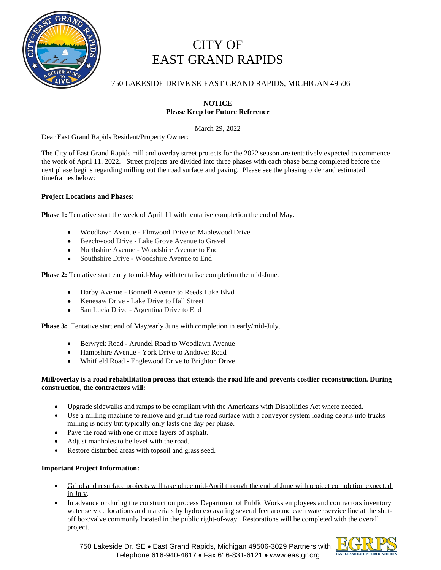

# CITY OF EAST GRAND RAPIDS

# 750 LAKESIDE DRIVE SE-EAST GRAND RAPIDS, MICHIGAN 49506

## **NOTICE Please Keep for Future Reference**

March 29, 2022

Dear East Grand Rapids Resident/Property Owner:

The City of East Grand Rapids mill and overlay street projects for the 2022 season are tentatively expected to commence the week of April 11, 2022. Street projects are divided into three phases with each phase being completed before the next phase begins regarding milling out the road surface and paving. Please see the phasing order and estimated timeframes below:

### **Project Locations and Phases:**

**Phase 1:** Tentative start the week of April 11 with tentative completion the end of May.

- · Woodlawn Avenue Elmwood Drive to Maplewood Drive
- Beechwood Drive Lake Grove Avenue to Gravel
- Northshire Avenue Woodshire Avenue to End
- Southshire Drive Woodshire Avenue to End

**Phase 2:** Tentative start early to mid-May with tentative completion the mid-June.

- Darby Avenue Bonnell Avenue to Reeds Lake Blvd
- Kenesaw Drive Lake Drive to Hall Street
- San Lucia Drive Argentina Drive to End

**Phase 3:** Tentative start end of May/early June with completion in early/mid-July.

- Berwyck Road Arundel Road to Woodlawn Avenue
- · Hampshire Avenue York Drive to Andover Road
- · Whitfield Road Englewood Drive to Brighton Drive

#### **Mill/overlay is a road rehabilitation process that extends the road life and prevents costlier reconstruction. During construction, the contractors will:**

- · Upgrade sidewalks and ramps to be compliant with the Americans with Disabilities Act where needed.
- · Use a milling machine to remove and grind the road surface with a conveyor system loading debris into trucksmilling is noisy but typically only lasts one day per phase.
- · Pave the road with one or more layers of asphalt.
- Adjust manholes to be level with the road.
- · Restore disturbed areas with topsoil and grass seed.

### **Important Project Information:**

- Grind and resurface projects will take place mid-April through the end of June with project completion expected in July.
- · In advance or during the construction process Department of Public Works employees and contractors inventory water service locations and materials by hydro excavating several feet around each water service line at the shutoff box/valve commonly located in the public right-of-way. Restorations will be completed with the overall project.



750 Lakeside Dr. SE · East Grand Rapids, Michigan 49506-3029 Partners with: Telephone 616-940-4817 • Fax 616-831-6121 • www.eastgr.org